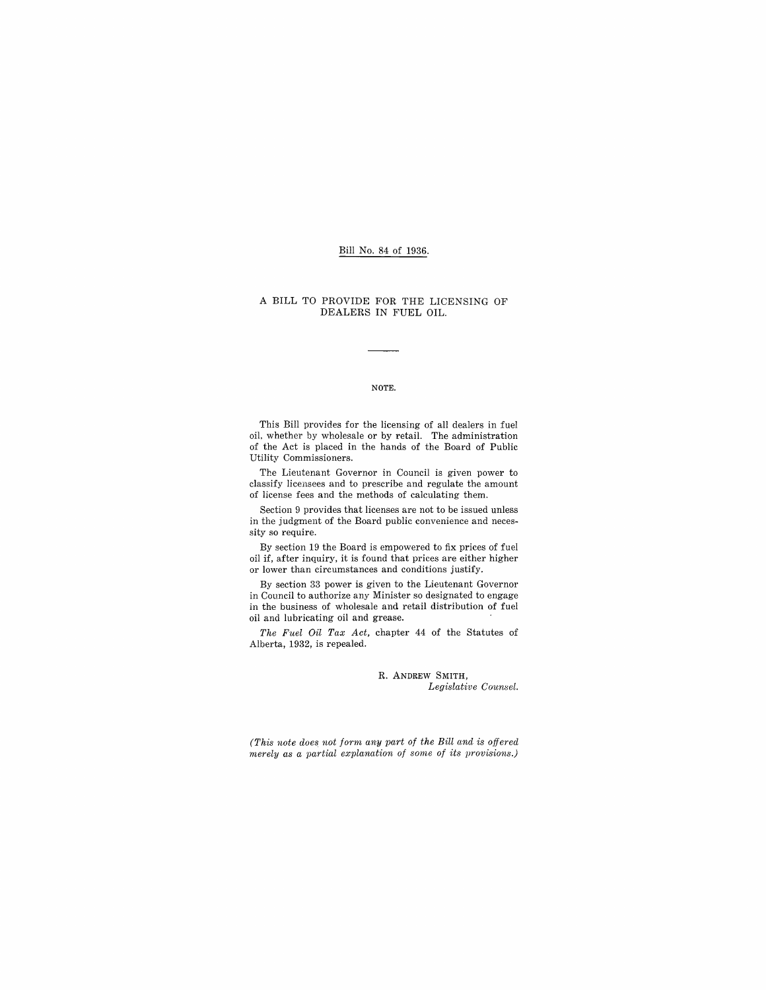#### Bill No. 84 of 1936.

#### A BILL TO PROVIDE FOR THE LICENSING OF DEALERS IN FUEL OIL.

#### NOTE.

This Bill provides for the licensing of all dealers in fuel oil. whether by wholesale or by retail. The administration of the Act is placed in the hands of the Board of Public Utility Commissioners.

The Lieutenant Governor in Council is given power to classify licensees and to prescribe and regulate the amount of license fees and the methods of calculating them.

Section 9 provides that licenses are not to be issued unless in the judgment of the Board public convenience and necessity so require.

By section 19 the Board is empowered to fix prices of fuel oil if, after inquiry, it is found that prices are either higher or lower than circumstances and conditions justify.

By section 33 power is given to the Lieutenant Governor in Council to authorize any Minister so designated to engage in the business of wholesale and retail distribution of fuel oil and lubricating oil and grease.

*The Fuel Oil Tax Act,* chapter 44 of the Statutes of Alberta, 1932, is repealed.

> R. ANDREW SMITH, *Legislative Counsel.*

*(This note does not form any part of the Bill and is offered merely as a partial explanation of some of its provisions.)*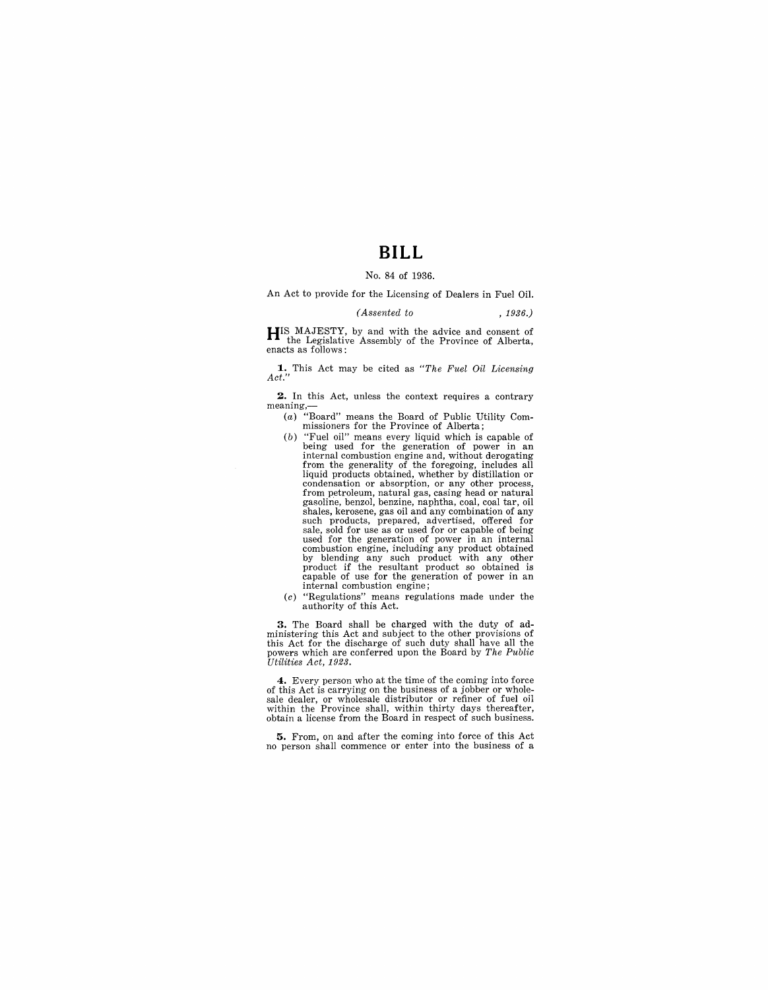# **BILL**

#### No. 84 of 1936.

An Act to provide for the Licensing of Dealers in Fuel Oil.

#### *(Assented to* , 1936.)

**HIS** MAJESTY, by and with the advice and consent of the Legislative Assembly of the Province of Alberta, enacts as follows:

**1.** This Act may be cited as *"The Fuel Oil Licensing Act."* 

**2.** In this Act, unless the context requires a contrary meaning,-

- (a) "Board" means the Board of Public Utility Commissioners for the Province of Alberta;
- $(b)$  "Fuel oil" means every liquid which is capable of being used for the generation of power in an internal combustion engine and, without derogating from the generality of the foregoing, includes all<br>liquid products obtained, whether by distillation or liquid products obtained, whether by distillation or<br>condensation or absorption, or any other process,<br>from petroleum, natural gas, casing head or natural<br>gasoline, benzol, benzine, naphtha, coal, coal tar, oil<br>shales, ker such products, prepared, advertised, offered for<br>sale, sold for use as or used for or capable of being<br>used for the generation of power in an internal<br>combustion engine, including any product obtained<br>by blending any such
- (c) "Regulations" means regulations made under the authority of this Act.

**3.** The Board shall be charged with the duty of ad-ministering this Act and subject to the other provisions of this Act for the discharge of such duty shall have all the powers which are conferred upon the Board by *The Public Utilities Act, 1923.* 

4. Every person who at the time of the coming into force of this Act is carrying on the business of a jobber or whole-<br>sale dealer, or wholesale distributor or refiner of fuel oil<br>within the Province shall, within thirty d obtain a license from the Board in respect of such business.

**5.** From, on and after the coming into force of this Act no person shall commence or enter into the business of a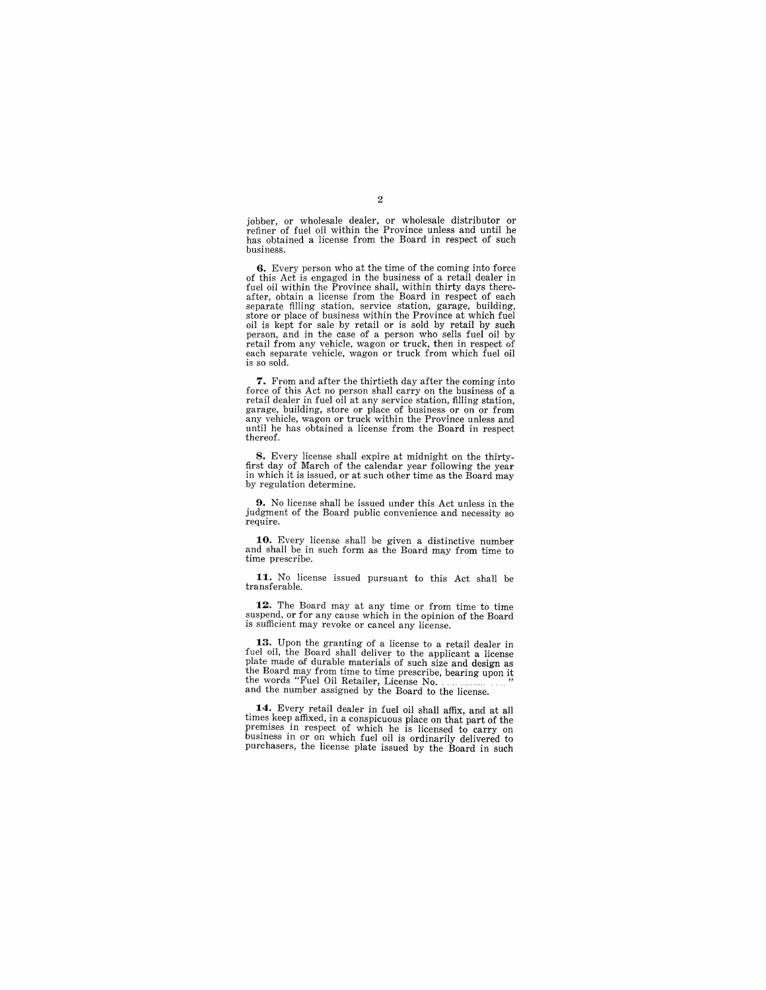jobber, or wholesale dealer, or wholesale distributor or refiner of fuel oil within the Province unless and until he has obtained a license from the Board in respect of such business.

**6.** Every person who at the time of the coming into force of this Act is engaged in the business of a retail dealer in fuel oil within the Province shall, within thirty days thereafter, obtain a license from the Board in respect of each separate filling station, service station, garage, building, store or place of business within the Province at which fuel oil is kept for sale by retail or is sold by retail by such person, and in the case of a person who sells fuel oil by retail from any vehicle, wagon or truck, then in respect of each separate vehicle, wagon or truck from which fuel oil is so sold.

7. From and after the thirtieth day after the coming into retail dealer in fuel oil at any service station, filling station, garage, building, store or place of business or on or from any vehicle, wagon or truck within the Province unless and until he has obtained a license from the Board in respect thereof.

**8.** Every license shall expire at midnight on the thirtyfirst day of March of the calendar year following the year in which it is issued, or at such other time as the Board may by regulation determine.

**9.** No license shall be issued under this Act unless in the judgment of the Board public convenience and necessity so require.

**10.** Every license shall be given a distinctive number and shall be in such form as the Board may from time to time prescribe.

**11.** No license issued pursuant to this Act shall be transferable.

**12.** The Board may at any time or from time to time suspend, or for any cause which in the opinion of the Board is sufficient may revoke or cancel any license.

**13.** Upon the granting of a license to a retail dealer in fuel oil, the Board shall deliver to the applicant a license<br>plate made of durable materials of such size and design as<br>the Board may from time to time prescribe, bearing upon it<br>the words "Fuel Oil Retailer, License No. .

**14.** Every retail dealer in fuel oil shall affix, and at all times keep affixed, in a conspicuous place on that part of the premises in respect of which he is licensed to carry on business in or on which fuel oil is ordinarily delivered to purchasers, the license plate issued by the Board in such

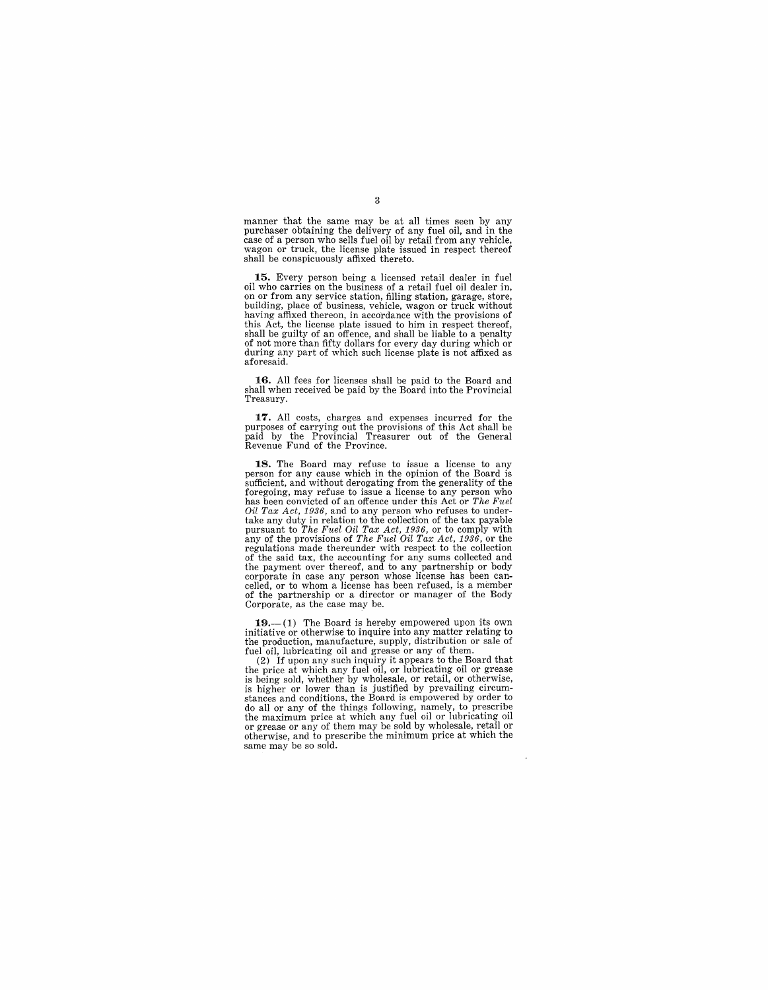manner that the same may be at all times seen by any purchaser obtaining the delivery of any fuel oil, and in the case of a person who sells fuel oil by retail from any vehicle, wagon or truck, the license plate issued in respect thereof shall be conspicuously affixed thereto.

**15.** Every person being a licensed retail dealer in fuel oil who carries on the business of a retail fuel oil dealer in, on or from any service station, filling station, garage, store, building, place of business, vehicle, wagon or truck without having affixed thereon, in accordance with the provisions of this Act, the license plate issued to him in respect thereof, shall be guilty of an offence, and shall be liable to a penalty of not more than fifty dollars for every day during which or during any part of which such license plate is not affixed as aforesaid.

16. All fees for licenses shall be paid to the Board and shall when received be paid by the Board into the Provincial Treasury.

**17.** All costs, charges and expenses incurred for the purposes of carrying out the provisions of this Act shall be paid by the Provincial Treasurer out of the General Revenue Fund of the Province.

18. The Board may refuse to issue a license to any person for any cause which in the opinion of the Board is sufficient, and without derogating from the generality of the foregoing, may refuse to issue a license to any person who has been convicted of an offence under this Act or *The Fuel Oil Tax Act, 1936,* and to any person who refuses to under-<br>take any duty in relation to the collection of the tax payable<br>pursuant to The Fuel Oil Tax Act, 1936, or to comply with<br>any of the provisions of The Fuel Oil T regulations made thereunder with respect to the collection of the said tax, the accounting for any sums collected and the payment over thereof, and to any partnership or body corporate in case any person whose license has been can- celled, or to whom a license has been refused, is a member of the partnership or a director or manager of the Body Corporate, as the case may be.

**19.**—(1) The Board is hereby empowered upon its own initiative or otherwise to inquire into any matter relating to the production, manufacture, supply, distribution or sale of fuel oil, lubricating oil and grease or any

(2) If upon any such inquiry it appears to the Board that the price at which any fuel oil, or lubricating oil or grease is being sold, whether by wholesale, or retail, or otherwise, is higher or lower than is justified by prevailing circumis higher or lower than is justified by prevailing circum-<br>stances and conditions, the Board is empowered by order to<br>do all or any of the things following, namely, to prescribe the maximum price at which any fuel oil or lubricating oil or grease or any of them may be sold by wholesale, retail or otherwise, and to prescribe the minimum price at which the same may be so sold.

3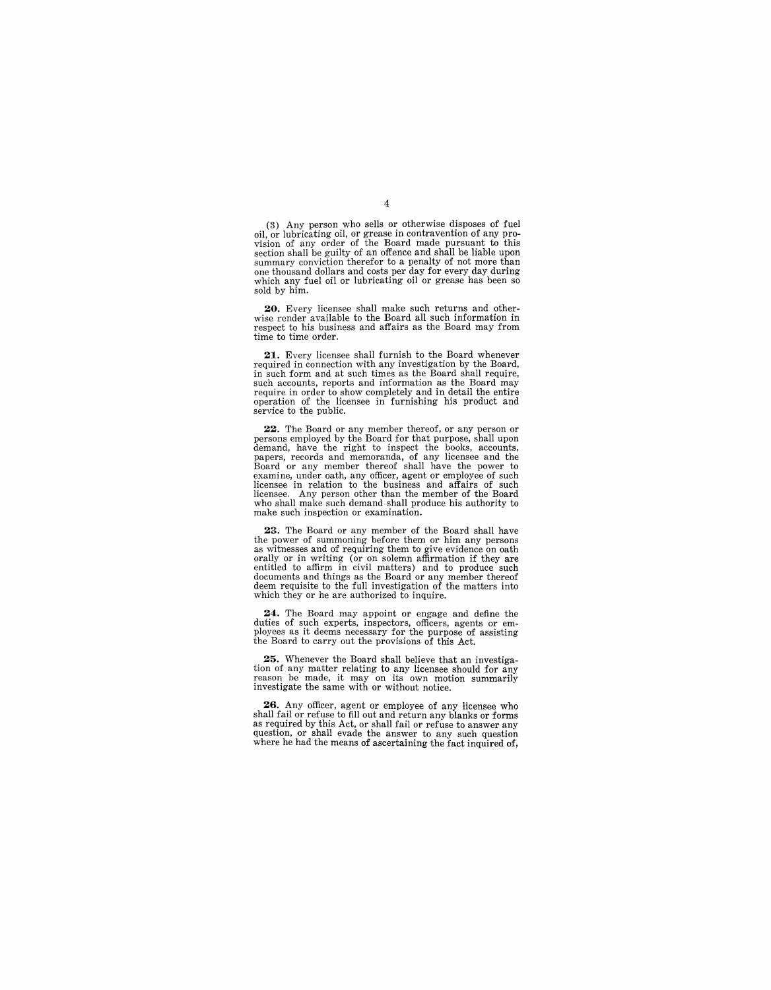(3) Any person who sells or otherwise disposes of fuel oil, or lubricating oil, or grease in contravention of any pro-vision of any order of the Board made pursuant to this section shall be guilty of an offence and shall be liable upon summary conviction therefor to a penalty of not more than one thousand dollars and costs per day for every day during which any fuel oil or lubricating oil or grease has been so sold by him.

**20.** Every licensee shall make such returns and otherwise render available to the Board all such information in respect to his business and affairs as the Board may from time to time order.

21. Every licensee shall furnish to the Board whenever required in connection with any investigation by the Board, in such form and at such times as the Board shall require, such accounts, reports and information as the Board may require in order to show completely and in detail the entire operation of the licensee in furnishing his product and service to the public.

22. The Board or any member thereof, or any person or<br>persons employed by the Board for that purpose, shall upon<br>demand, have the right to inspect the books, accounts,<br>papers, records and memoranda, of any licensee and the examine, under oath, any officer, agent or employee of such licensee in relation to the business and affairs of such licensee. Any person other than the member of the Board who shall make such demand shall produce his authority to make such inspection or examination.

23. The Board or any member of the Board shall have the power of summoning before them or him any persons the power of summoning before them or him any persons as witnesses and of requiring them to give evidence on oath orally or in writing (or on solemn affirmation if they are entitled to affirm in civil matters) and to produce such documents and things as the Board or any member thereof deem requisite to the full investigation of the matters into which they or he are authorized to inquire.

24. The Board may appoint or engage and define the duties of such experts, inspectors, officers, agents or employees as it deems necessary for the purpose of assisting the Board to carry out the provisions of this Act.

**25.** Whenever the Board shall believe that an investigation of any matter relating to any licensee should for any reason be made, it may on its own motion summarily investigate the same with or without notice.

26. Any officer, agent or employee of any licensee who shall fail or refuse to fill out and return any blanks or forms as required by this Act, or shall fail or refuse to answer any question, or shall evade the answer to any such question where he had the means of ascertaining the fact inquired of,

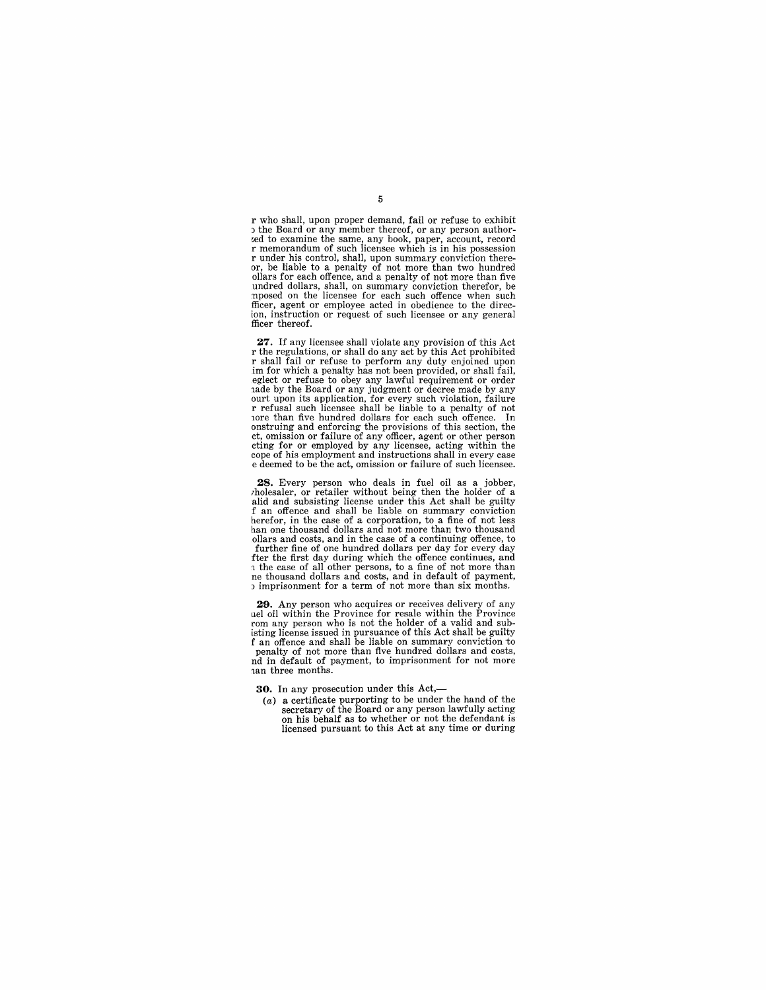r who shall, upon proper demand, fail or refuse to exhibit<br>b the Board or any member thereof, or any person author-~ed to examine the same, any book, paper, account, record r memorandum of such licensee which is in his possession r under his control, shall, upon summary conviction thereor, be liable to a penalty of not more than two hundred ollars for each offence, and a penalty of not more than five undred dollars, shall, on summary conviction therefor, be nposed on the licensee for each such offence when such fficer, agent or employee acted in obedience to the direc-ion, instruction or request of such licensee or any general fficer thereof.

**27.** If any licensee shall violate any provision of this Act r the regulations, or shall do any act by this Act prohibited r shall fail or refuse to perform any duty enjoined upon im for which a penalty has not been provided, or shall fail, eglect or refuse to obey any lawful requirement or order lade by the Board or any judgment or decree made by any ourt upon its application, for every such violation, failure<br>r refusal such licensee shall be liable to a penalty of not<br>rore than five hundred dollars for each such offence. In<br>onstruing and enforcing the provisions of th ct, omission or failure of any officer, agent or other person cting for or employed by any licensee, acting within the cope of his employment and instructions shall in every case e deemed to be the act, omission or failure of such licensee.

**28.** Every person who deals in fuel oil as a jobber, *rholesaler*, or retailer without being then the holder of a alid and subsisting license under this Act shall be guilty f an offence and shall be liable on summary conviction herefor, in the case of a corporation, to a fine of not less han one thousand dollars and not more than two thousand ollars and costs, and in the case of a continuing offence, to further fine of one hundred dollars per day for every day fter the first day during which the offence continues, and The case of all other persons, to a fine of not more than ne thousand dollars and costs, and in default of payment,  $\alpha$  imprisonment for a term of not more than six months.

29. Any person who acquires or receives delivery of any uel oil within the Province for resale within the Province uel oil within the Province for resale within the Province<br>rom any person who is not the holder of a valid and sub-<br>isting license issued in pursuance of this Act shall be guilty<br>f an offence and shall be liable on summary penalty of not more than five hundred dollars and costs, nd in default of payment, to imprisonment for not more lan three months.

**30.** In any prosecution under this Act,-

 $(a)$  a certificate purporting to be under the hand of the secretary of the Board or any person lawfully acting on his behalf as to whether or not the defendant is licensed pursuant to this Act at any time or during

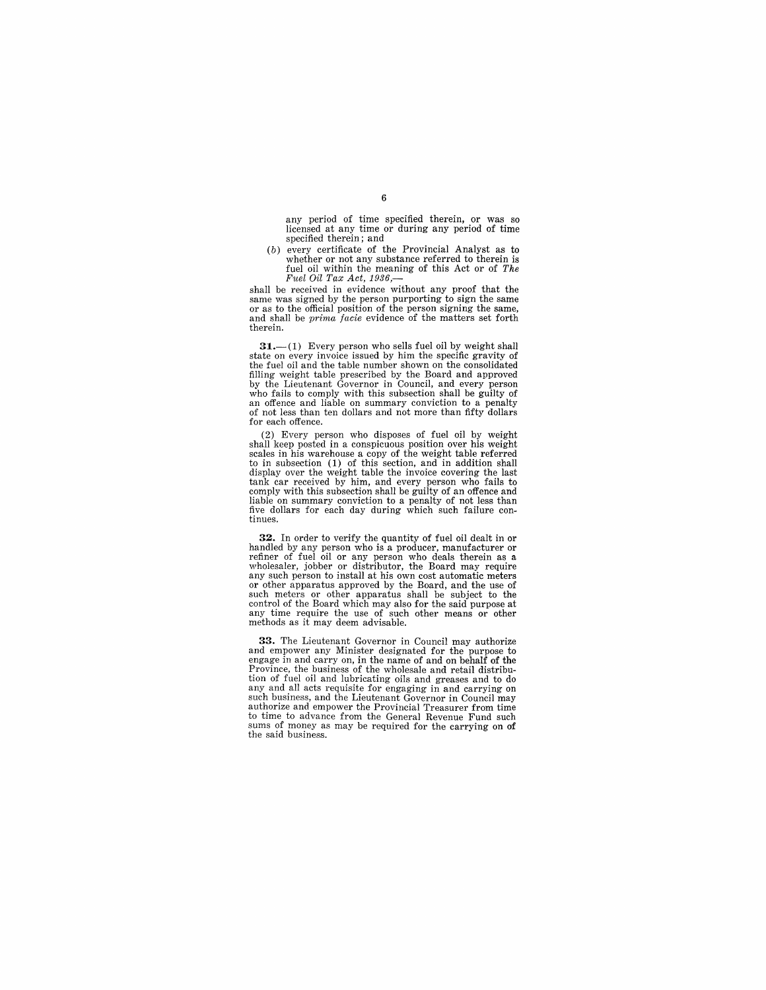any period of time specified therein, or was so licensed at any time or during any period of time specified therein; and

(b) every certificate of the Provincial Analyst as to whether or not any substance referred to therein is fuel oil within the meaning of this Act or of *The* 

*Fuel Oil Tax Act, 1936,—*<br>shall be received in evidence without any proof that the shall be vecetived in evidence without any proof that same or as to the official position of the person signing the same, and shall be *prima facie* evidence of the matters set forth therein.

31.--(1) Every person who sells fuel oil by weight shall state on every invoice issued by him the specific gravity of the fuel oil and the table number shown on the consolidated filling weight table prescribed by the Board and approved by the Lieutenant Governor in Council, and every person who fails to comply with this subsection shall be guilty of an offence and liable on summary conviction to a penalty of not less than ten dollars and not more than fifty dollars for each offence.

(2) Every person who disposes of fuel oil by weight shall keep posted in a conspicuous position over his weight<br>scales in his warehouse a copy of the weight table referred<br>to in subsection (1) of this section, and in addition shall<br>display over the weight table the invoice tank car received by him, and every person who fails to comply with this subsection shall be guilty of an offence and liable on summary conviction to a penalty of not less than five dollars for each day during which such failure con- tinues.

32. In order to verify the quantity of fuel oil dealt in or handled by any person who is a producer, manufacturer or refiner of fuel oil or any person who deals therein as a wholesaler, jobber or distributor, the Board may any such person to install at his own cost automatic meters or other apparatus approved by the Board, and the use of such meters or other apparatus shall be subject to the control of the Board which may also for the said purpose at any time require the use of such other means or other methods as it may deem advisable.

**33.** The Lieutenant Governor in Council may authorize and empower any Minister designated for the purpose to engage in and carryon, in the name of and on behalf of the Province, the business of the wholesale and retail distribu-tion of fuel oil and lubricating oils and greases and to do any and all acts requisite for engaging in and carrying on such business, and the Lieutenant Governor in Council may authorize and empower the Provincial Treasurer from time sums of money as may be required for the carrying on of the said business.

#### 6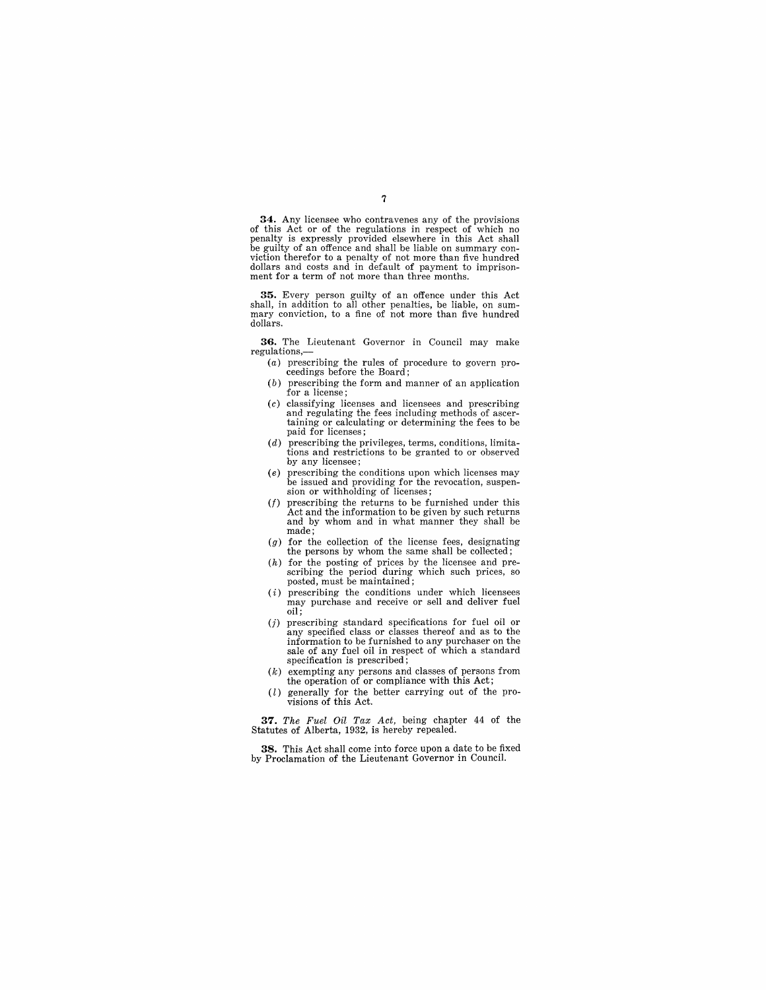**34.** Any licensee who contravenes any of the provisions of this Act or of the regulations in respect of which no penalty is expressly provided elsewhere in this Act shall be guilty of an offence and shall be liable on summary conviction therefor to a penalty of not more than five hundred dollars and costs and in default of payment to imprisonment for a term of not more than three months.

**35.** Every person guilty of an offence under this Act shall, in addition to all other penalties, be liable, on sum- mary conviction, to a fine of not more than five hundred dollars.

**36.** The Lieutenant Governor in Council may make regulations,-

- (a) prescribing the rules of procedure to govern proceedings before the Board;
- $(b)$  prescribing the form and manner of an application for a license;
- (c) classifying licenses and licensees and prescribing taining or calculating or determining the fees to be paid for licenses;
- $(d)$  prescribing the privileges, terms, conditions, limitations and restrictions to be granted to or observed by any licensee;
- (e) prescribing the conditions upon which licenses may be issued and providing for the revocation, suspension or withholding of licenses;
- $(f)$  prescribing the returns to be furnished under this Act and the information to be given by such returns and by whom and in what manner they shall be made;
- $(g)$  for the collection of the license fees, designating the persons by whom the same shall be collected;
- (h) for the posting of prices by the licensee and pre-scribing the period during which such prices, so posted, must be maintained;
- $(i)$  prescribing the conditions under which licensees may purchase and receive or sell and deliver fuel oil;
- (j) prescribing standard specifications for fuel oil or any specified class or classes thereof and as to the information to be furnished to any purchaser on the sale of any fuel oil in respect of which a standard specification is prescribed;
- (k) exempting any persons and classes of persons from the operation of or compliance with this Act;
- (l) generally for the better carrying out of the provisions of this Act.

*37. The Fuel Oil Tax Act,* being chapter 44 of the Statutes of Alberta, 1932, is hereby repealed.

**38.** This Act shall come into force upon a date to be fixed by Proclamation of the Lieutenant Governor in Council.

#### 7